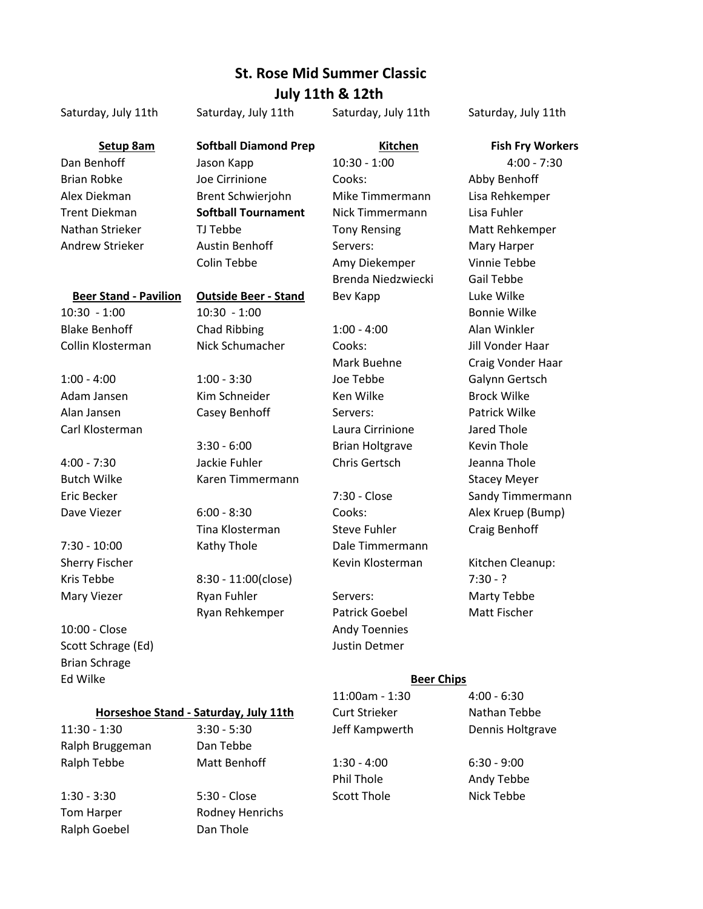## **St. Rose Mid Summer Classic July 11th & 12th**

|                              |                              | JUIY IILII OS IZLII    |                         |
|------------------------------|------------------------------|------------------------|-------------------------|
| Saturday, July 11th          | Saturday, July 11th          | Saturday, July 11th    | Saturday, July 11th     |
| Setup 8am                    | <b>Softball Diamond Prep</b> | <b>Kitchen</b>         | <b>Fish Fry Workers</b> |
| Dan Benhoff                  | Jason Kapp                   | $10:30 - 1:00$         | $4:00 - 7:30$           |
| <b>Brian Robke</b>           | Joe Cirrinione               | Cooks:                 | Abby Benhoff            |
| Alex Diekman                 | Brent Schwierjohn            | Mike Timmermann        | Lisa Rehkemper          |
| Trent Diekman                | <b>Softball Tournament</b>   | Nick Timmermann        | Lisa Fuhler             |
| Nathan Strieker              | TJ Tebbe                     | <b>Tony Rensing</b>    | Matt Rehkemper          |
| Andrew Strieker              | Austin Benhoff               | Servers:               | Mary Harper             |
|                              | Colin Tebbe                  | Amy Diekemper          | Vinnie Tebbe            |
|                              |                              | Brenda Niedzwiecki     | Gail Tebbe              |
| <b>Beer Stand - Pavilion</b> | <b>Outside Beer - Stand</b>  | Bev Kapp               | Luke Wilke              |
| $10:30 - 1:00$               | $10:30 - 1:00$               |                        | <b>Bonnie Wilke</b>     |
| <b>Blake Benhoff</b>         | Chad Ribbing                 | $1:00 - 4:00$          | Alan Winkler            |
| Collin Klosterman            | Nick Schumacher              | Cooks:                 | Jill Vonder Haar        |
|                              |                              | Mark Buehne            | Craig Vonder Haar       |
| $1:00 - 4:00$                | $1:00 - 3:30$                | Joe Tebbe              | Galynn Gertsch          |
| Adam Jansen                  | Kim Schneider                | Ken Wilke              | <b>Brock Wilke</b>      |
| Alan Jansen                  | Casey Benhoff                | Servers:               | Patrick Wilke           |
| Carl Klosterman              |                              | Laura Cirrinione       | Jared Thole             |
|                              | $3:30 - 6:00$                | <b>Brian Holtgrave</b> | <b>Kevin Thole</b>      |
| 4:00 - 7:30                  | Jackie Fuhler                | Chris Gertsch          | Jeanna Thole            |
| <b>Butch Wilke</b>           | Karen Timmermann             |                        | <b>Stacey Meyer</b>     |
| Eric Becker                  |                              | 7:30 - Close           | Sandy Timmermann        |
| Dave Viezer                  | $6:00 - 8:30$                | Cooks:                 | Alex Kruep (Bump)       |

7:30 - 10:00 Kathy Thole Dale Timmermann

Brian Schrage Ed Wilke

# Kris Tebbe 8:30 - 11:00(close) 7:30 - ? Mary Viezer **Ryan Fuhler** Servers: Marty Tebbe 10:00 - Close **Andy Toennies** Andy Toennies

Scott Schrage (Ed) Scott Schrage (Ed) Scott Schrage (Ed) 3 Justin Detmer

# **Horseshoe Stand - Saturday, July 11th**

Ralph Bruggeman Dan Tebbe

Ralph Goebel Dan Thole

1:30 - 3:30 - 5:30 - Close Scott Thole Scott Thole Nick Tebbe Tom Harper Rodney Henrichs

Ryan Rehkemper Patrick Goebel Matt Fischer

Tina Klosterman Steve Fuhler Craig Benhoff Sherry Fischer **Kevin Klosterman** Kitchen Cleanup:

#### **Beer Chips**

11:00am - 1:30 4:00 - 6:30 Curt Strieker Nathan Tebbe 11:30 - 1:30 3:30 - 5:30 Jeff Kampwerth Dennis Holtgrave Ralph Tebbe **Matt Benhoff** 1:30 - 4:00 6:30 - 9:00 Phil Thole **Andy Tebbe**